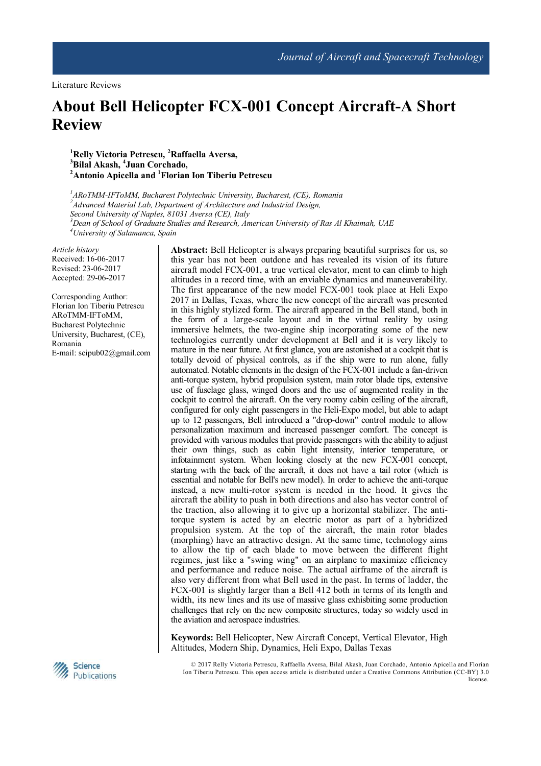# **About Bell Helicopter FCX-001 Concept Aircraft-A Short Review**

**<sup>1</sup>Relly Victoria Petrescu, <sup>2</sup>Raffaella Aversa, <sup>3</sup>Bilal Akash, <sup>4</sup> Juan Corchado, <sup>2</sup>Antonio Apicella and <sup>1</sup>Florian Ion Tiberiu Petrescu**

*ARoTMM-IFToMM, Bucharest Polytechnic University, Bucharest, (CE), Romania Advanced Material Lab, Department of Architecture and Industrial Design, Second University of Naples, 81031 Aversa (CE), Italy Dean of School of Graduate Studies and Research, American University of Ras Al Khaimah, UAE University of Salamanca, Spain* 

*Article history* Received: 16-06-2017 Revised: 23-06-2017 Accepted: 29-06-2017

Corresponding Author: Florian Ion Tiberiu Petrescu ARoTMM-IFToMM, Bucharest Polytechnic University, Bucharest, (CE), Romania E-mail: scipub02@gmail.com

in this highly stylized form. The aircraft appeared in the Bell stand, both in the form of a large-scale layout and in the virtual reality by using immersive helmets, the two-engine ship incorporating some of the new technologies currently under development at Bell and it is very likely to mature in the near future. At first glance, you are astonished at a cockpit that is totally devoid of physical controls, as if the ship were to run alone, fully automated. Notable elements in the design of the FCX-001 include a fan-driven anti-torque system, hybrid propulsion system, main rotor blade tips, extensive use of fuselage glass, winged doors and the use of augmented reality in the cockpit to control the aircraft. On the very roomy cabin ceiling of the aircraft, configured for only eight passengers in the Heli-Expo model, but able to adapt up to 12 passengers, Bell introduced a "drop-down" control module to allow personalization maximum and increased passenger comfort. The concept is provided with various modules that provide passengers with the ability to adjust their own things, such as cabin light intensity, interior temperature, or infotainment system. When looking closely at the new FCX-001 concept, starting with the back of the aircraft, it does not have a tail rotor (which is essential and notable for Bell's new model). In order to achieve the anti-torque instead, a new multi-rotor system is needed in the hood. It gives the aircraft the ability to push in both directions and also has vector control of the traction, also allowing it to give up a horizontal stabilizer. The antitorque system is acted by an electric motor as part of a hybridized propulsion system. At the top of the aircraft, the main rotor blades (morphing) have an attractive design. At the same time, technology aims to allow the tip of each blade to move between the different flight regimes, just like a "swing wing" on an airplane to maximize efficiency and performance and reduce noise. The actual airframe of the aircraft is also very different from what Bell used in the past. In terms of ladder, the FCX-001 is slightly larger than a Bell 412 both in terms of its length and width, its new lines and its use of massive glass exhisbiting some production challenges that rely on the new composite structures, today so widely used in

**Abstract:** Bell Helicopter is always preparing beautiful surprises for us, so this year has not been outdone and has revealed its vision of its future aircraft model FCX-001, a true vertical elevator, ment to can climb to high altitudes in a record time, with an enviable dynamics and maneuverability. The first appearance of the new model FCX-001 took place at Heli Expo 2017 in Dallas, Texas, where the new concept of the aircraft was presented

**Keywords:** Bell Helicopter, New Aircraft Concept, Vertical Elevator, High Altitudes, Modern Ship, Dynamics, Heli Expo, Dallas Texas

the aviation and aerospace industries.



 © 2017 Relly Victoria Petrescu, Raffaella Aversa, Bilal Akash, Juan Corchado, Antonio Apicella and Florian Ion Tiberiu Petrescu. This open access article is distributed under a Creative Commons Attribution (CC-BY) 3.0 license.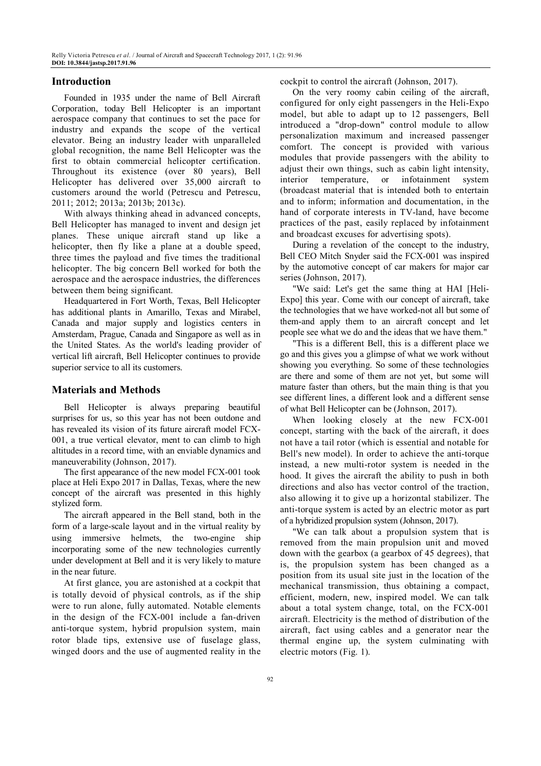# **Introduction**

Founded in 1935 under the name of Bell Aircraft Corporation, today Bell Helicopter is an important aerospace company that continues to set the pace for industry and expands the scope of the vertical elevator. Being an industry leader with unparalleled global recognition, the name Bell Helicopter was the first to obtain commercial helicopter certification. Throughout its existence (over 80 years), Bell Helicopter has delivered over 35,000 aircraft to customers around the world (Petrescu and Petrescu, 2011; 2012; 2013a; 2013b; 2013c).

With always thinking ahead in advanced concepts, Bell Helicopter has managed to invent and design jet planes. These unique aircraft stand up like a helicopter, then fly like a plane at a double speed, three times the payload and five times the traditional helicopter. The big concern Bell worked for both the aerospace and the aerospace industries, the differences between them being significant.

Headquartered in Fort Worth, Texas, Bell Helicopter has additional plants in Amarillo, Texas and Mirabel, Canada and major supply and logistics centers in Amsterdam, Prague, Canada and Singapore as well as in the United States. As the world's leading provider of vertical lift aircraft, Bell Helicopter continues to provide superior service to all its customers.

## **Materials and Methods**

Bell Helicopter is always preparing beautiful surprises for us, so this year has not been outdone and has revealed its vision of its future aircraft model FCX-001, a true vertical elevator, ment to can climb to high altitudes in a record time, with an enviable dynamics and maneuverability (Johnson, 2017).

The first appearance of the new model FCX-001 took place at Heli Expo 2017 in Dallas, Texas, where the new concept of the aircraft was presented in this highly stylized form.

The aircraft appeared in the Bell stand, both in the form of a large-scale layout and in the virtual reality by using immersive helmets, the two-engine ship incorporating some of the new technologies currently under development at Bell and it is very likely to mature in the near future.

At first glance, you are astonished at a cockpit that is totally devoid of physical controls, as if the ship were to run alone, fully automated. Notable elements in the design of the FCX-001 include a fan-driven anti-torque system, hybrid propulsion system, main rotor blade tips, extensive use of fuselage glass, winged doors and the use of augmented reality in the cockpit to control the aircraft (Johnson, 2017).

On the very roomy cabin ceiling of the aircraft, configured for only eight passengers in the Heli-Expo model, but able to adapt up to 12 passengers, Bell introduced a "drop-down" control module to allow personalization maximum and increased passenger comfort. The concept is provided with various modules that provide passengers with the ability to adjust their own things, such as cabin light intensity, interior temperature, or infotainment system (broadcast material that is intended both to entertain and to inform; information and documentation, in the hand of corporate interests in TV-land, have become practices of the past, easily replaced by infotainment and broadcast excuses for advertising spots).

During a revelation of the concept to the industry, Bell CEO Mitch Snyder said the FCX-001 was inspired by the automotive concept of car makers for major car series (Johnson, 2017).

"We said: Let's get the same thing at HAI [Heli-Expo] this year. Come with our concept of aircraft, take the technologies that we have worked-not all but some of them-and apply them to an aircraft concept and let people see what we do and the ideas that we have them."

"This is a different Bell, this is a different place we go and this gives you a glimpse of what we work without showing you everything. So some of these technologies are there and some of them are not yet, but some will mature faster than others, but the main thing is that you see different lines, a different look and a different sense of what Bell Helicopter can be (Johnson, 2017).

When looking closely at the new FCX-001 concept, starting with the back of the aircraft, it does not have a tail rotor (which is essential and notable for Bell's new model). In order to achieve the anti-torque instead, a new multi-rotor system is needed in the hood. It gives the aircraft the ability to push in both directions and also has vector control of the traction, also allowing it to give up a horizontal stabilizer. The anti-torque system is acted by an electric motor as part of a hybridized propulsion system (Johnson, 2017).

"We can talk about a propulsion system that is removed from the main propulsion unit and moved down with the gearbox (a gearbox of 45 degrees), that is, the propulsion system has been changed as a position from its usual site just in the location of the mechanical transmission, thus obtaining a compact, efficient, modern, new, inspired model. We can talk about a total system change, total, on the FCX-001 aircraft. Electricity is the method of distribution of the aircraft, fact using cables and a generator near the thermal engine up, the system culminating with electric motors (Fig. 1).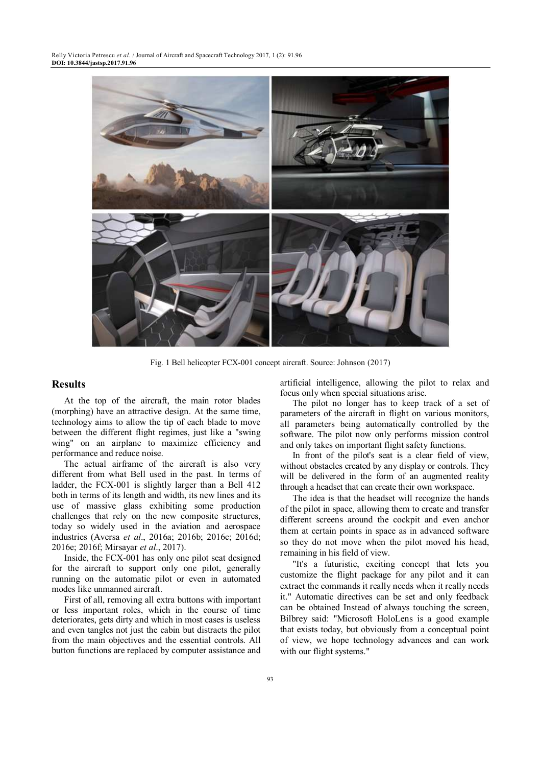

Fig. 1 Bell helicopter FCX-001 concept aircraft. Source: Johnson (2017)

## **Results**

At the top of the aircraft, the main rotor blades (morphing) have an attractive design. At the same time, technology aims to allow the tip of each blade to move between the different flight regimes, just like a "swing wing" on an airplane to maximize efficiency and performance and reduce noise.

The actual airframe of the aircraft is also very different from what Bell used in the past. In terms of ladder, the FCX-001 is slightly larger than a Bell 412 both in terms of its length and width, its new lines and its use of massive glass exhibiting some production challenges that rely on the new composite structures, today so widely used in the aviation and aerospace industries (Aversa *et al*., 2016a; 2016b; 2016c; 2016d; 2016e; 2016f; Mirsayar *et al*., 2017).

Inside, the FCX-001 has only one pilot seat designed for the aircraft to support only one pilot, generally running on the automatic pilot or even in automated modes like unmanned aircraft.

First of all, removing all extra buttons with important or less important roles, which in the course of time deteriorates, gets dirty and which in most cases is useless and even tangles not just the cabin but distracts the pilot from the main objectives and the essential controls. All button functions are replaced by computer assistance and artificial intelligence, allowing the pilot to relax and focus only when special situations arise.

The pilot no longer has to keep track of a set of parameters of the aircraft in flight on various monitors, all parameters being automatically controlled by the software. The pilot now only performs mission control and only takes on important flight safety functions.

In front of the pilot's seat is a clear field of view, without obstacles created by any display or controls. They will be delivered in the form of an augmented reality through a headset that can create their own workspace.

The idea is that the headset will recognize the hands of the pilot in space, allowing them to create and transfer different screens around the cockpit and even anchor them at certain points in space as in advanced software so they do not move when the pilot moved his head, remaining in his field of view.

"It's a futuristic, exciting concept that lets you customize the flight package for any pilot and it can extract the commands it really needs when it really needs it." Automatic directives can be set and only feedback can be obtained Instead of always touching the screen, Bilbrey said: "Microsoft HoloLens is a good example that exists today, but obviously from a conceptual point of view, we hope technology advances and can work with our flight systems."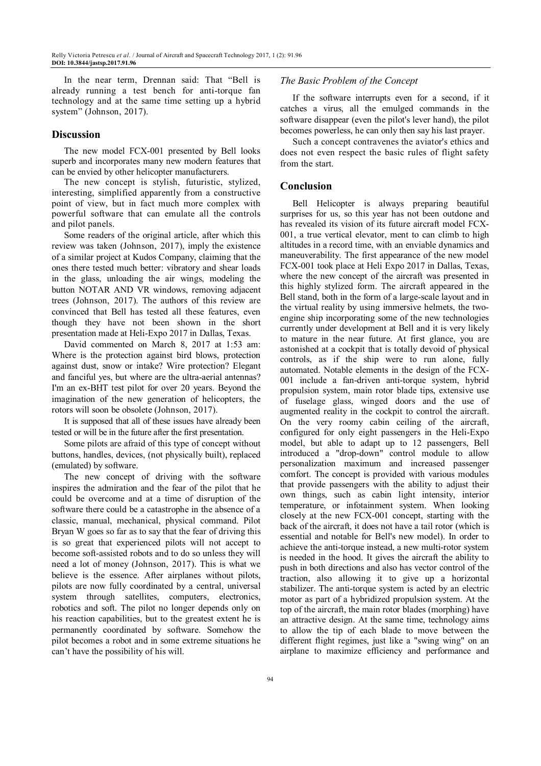In the near term, Drennan said: That "Bell is already running a test bench for anti-torque fan technology and at the same time setting up a hybrid system" (Johnson, 2017).

## **Discussion**

The new model FCX-001 presented by Bell looks superb and incorporates many new modern features that can be envied by other helicopter manufacturers.

The new concept is stylish, futuristic, stylized, interesting, simplified apparently from a constructive point of view, but in fact much more complex with powerful software that can emulate all the controls and pilot panels.

Some readers of the original article, after which this review was taken (Johnson, 2017), imply the existence of a similar project at Kudos Company, claiming that the ones there tested much better: vibratory and shear loads in the glass, unloading the air wings, modeling the button NOTAR AND VR windows, removing adjacent trees (Johnson, 2017). The authors of this review are convinced that Bell has tested all these features, even though they have not been shown in the short presentation made at Heli-Expo 2017 in Dallas, Texas.

David commented on March 8, 2017 at 1:53 am: Where is the protection against bird blows, protection against dust, snow or intake? Wire protection? Elegant and fanciful yes, but where are the ultra-aerial antennas? I'm an ex-BHT test pilot for over 20 years. Beyond the imagination of the new generation of helicopters, the rotors will soon be obsolete (Johnson, 2017).

It is supposed that all of these issues have already been tested or will be in the future after the first presentation.

Some pilots are afraid of this type of concept without buttons, handles, devices, (not physically built), replaced (emulated) by software.

The new concept of driving with the software inspires the admiration and the fear of the pilot that he could be overcome and at a time of disruption of the software there could be a catastrophe in the absence of a classic, manual, mechanical, physical command. Pilot Bryan W goes so far as to say that the fear of driving this is so great that experienced pilots will not accept to become soft-assisted robots and to do so unless they will need a lot of money (Johnson, 2017). This is what we believe is the essence. After airplanes without pilots, pilots are now fully coordinated by a central, universal system through satellites, computers, electronics, robotics and soft. The pilot no longer depends only on his reaction capabilities, but to the greatest extent he is permanently coordinated by software. Somehow the pilot becomes a robot and in some extreme situations he can't have the possibility of his will.

#### *The Basic Problem of the Concept*

If the software interrupts even for a second, if it catches a virus, all the emulged commands in the software disappear (even the pilot's lever hand), the pilot becomes powerless, he can only then say his last prayer.

Such a concept contravenes the aviator's ethics and does not even respect the basic rules of flight safety from the start.

#### **Conclusion**

Bell Helicopter is always preparing beautiful surprises for us, so this year has not been outdone and has revealed its vision of its future aircraft model FCX-001, a true vertical elevator, ment to can climb to high altitudes in a record time, with an enviable dynamics and maneuverability. The first appearance of the new model FCX-001 took place at Heli Expo 2017 in Dallas, Texas, where the new concept of the aircraft was presented in this highly stylized form. The aircraft appeared in the Bell stand, both in the form of a large-scale layout and in the virtual reality by using immersive helmets, the twoengine ship incorporating some of the new technologies currently under development at Bell and it is very likely to mature in the near future. At first glance, you are astonished at a cockpit that is totally devoid of physical controls, as if the ship were to run alone, fully automated. Notable elements in the design of the FCX-001 include a fan-driven anti-torque system, hybrid propulsion system, main rotor blade tips, extensive use of fuselage glass, winged doors and the use of augmented reality in the cockpit to control the aircraft. On the very roomy cabin ceiling of the aircraft, configured for only eight passengers in the Heli-Expo model, but able to adapt up to 12 passengers, Bell introduced a "drop-down" control module to allow personalization maximum and increased passenger comfort. The concept is provided with various modules that provide passengers with the ability to adjust their own things, such as cabin light intensity, interior temperature, or infotainment system. When looking closely at the new FCX-001 concept, starting with the back of the aircraft, it does not have a tail rotor (which is essential and notable for Bell's new model). In order to achieve the anti-torque instead, a new multi-rotor system is needed in the hood. It gives the aircraft the ability to push in both directions and also has vector control of the traction, also allowing it to give up a horizontal stabilizer. The anti-torque system is acted by an electric motor as part of a hybridized propulsion system. At the top of the aircraft, the main rotor blades (morphing) have an attractive design. At the same time, technology aims to allow the tip of each blade to move between the different flight regimes, just like a "swing wing" on an airplane to maximize efficiency and performance and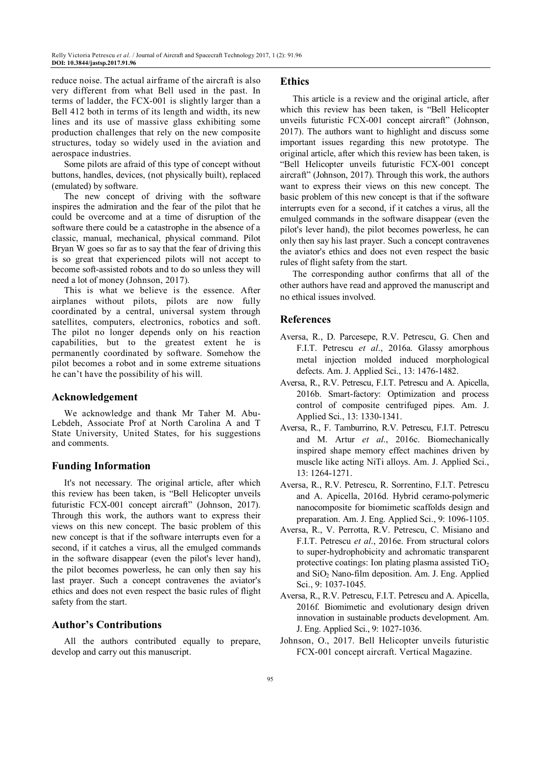reduce noise. The actual airframe of the aircraft is also very different from what Bell used in the past. In terms of ladder, the FCX-001 is slightly larger than a Bell 412 both in terms of its length and width, its new lines and its use of massive glass exhibiting some production challenges that rely on the new composite structures, today so widely used in the aviation and aerospace industries.

Some pilots are afraid of this type of concept without buttons, handles, devices, (not physically built), replaced (emulated) by software.

The new concept of driving with the software inspires the admiration and the fear of the pilot that he could be overcome and at a time of disruption of the software there could be a catastrophe in the absence of a classic, manual, mechanical, physical command. Pilot Bryan W goes so far as to say that the fear of driving this is so great that experienced pilots will not accept to become soft-assisted robots and to do so unless they will need a lot of money (Johnson, 2017).

This is what we believe is the essence. After airplanes without pilots, pilots are now fully coordinated by a central, universal system through satellites, computers, electronics, robotics and soft. The pilot no longer depends only on his reaction capabilities, but to the greatest extent he is permanently coordinated by software. Somehow the pilot becomes a robot and in some extreme situations he can't have the possibility of his will.

## **Acknowledgement**

We acknowledge and thank Mr Taher M. Abu-Lebdeh, Associate Prof at North Carolina A and T State University, United States, for his suggestions and comments.

## **Funding Information**

It's not necessary. The original article, after which this review has been taken, is "Bell Helicopter unveils futuristic FCX-001 concept aircraft" (Johnson, 2017). Through this work, the authors want to express their views on this new concept. The basic problem of this new concept is that if the software interrupts even for a second, if it catches a virus, all the emulged commands in the software disappear (even the pilot's lever hand), the pilot becomes powerless, he can only then say his last prayer. Such a concept contravenes the aviator's ethics and does not even respect the basic rules of flight safety from the start.

## **Author's Contributions**

All the authors contributed equally to prepare, develop and carry out this manuscript.

#### **Ethics**

This article is a review and the original article, after which this review has been taken, is "Bell Helicopter unveils futuristic FCX-001 concept aircraft" (Johnson, 2017). The authors want to highlight and discuss some important issues regarding this new prototype. The original article, after which this review has been taken, is "Bell Helicopter unveils futuristic FCX-001 concept aircraft" (Johnson, 2017). Through this work, the authors want to express their views on this new concept. The basic problem of this new concept is that if the software interrupts even for a second, if it catches a virus, all the emulged commands in the software disappear (even the pilot's lever hand), the pilot becomes powerless, he can only then say his last prayer. Such a concept contravenes the aviator's ethics and does not even respect the basic rules of flight safety from the start.

The corresponding author confirms that all of the other authors have read and approved the manuscript and no ethical issues involved.

## **References**

- Aversa, R., D. Parcesepe, R.V. Petrescu, G. Chen and F.I.T. Petrescu *et al*., 2016a. Glassy amorphous metal injection molded induced morphological defects. Am. J. Applied Sci., 13: 1476-1482.
- Aversa, R., R.V. Petrescu, F.I.T. Petrescu and A. Apicella, 2016b. Smart-factory: Optimization and process control of composite centrifuged pipes. Am. J. Applied Sci., 13: 1330-1341.
- Aversa, R., F. Tamburrino, R.V. Petrescu, F.I.T. Petrescu and M. Artur *et al*., 2016c. Biomechanically inspired shape memory effect machines driven by muscle like acting NiTi alloys. Am. J. Applied Sci., 13: 1264-1271.
- Aversa, R., R.V. Petrescu, R. Sorrentino, F.I.T. Petrescu and A. Apicella, 2016d. Hybrid ceramo-polymeric nanocomposite for biomimetic scaffolds design and preparation. Am. J. Eng. Applied Sci., 9: 1096-1105.
- Aversa, R., V. Perrotta, R.V. Petrescu, C. Misiano and F.I.T. Petrescu *et al*., 2016e. From structural colors to super-hydrophobicity and achromatic transparent protective coatings: Ion plating plasma assisted  $TiO<sub>2</sub>$ and  $SiO<sub>2</sub>$  Nano-film deposition. Am. J. Eng. Applied Sci., 9: 1037-1045.
- Aversa, R., R.V. Petrescu, F.I.T. Petrescu and A. Apicella, 2016f. Biomimetic and evolutionary design driven innovation in sustainable products development. Am. J. Eng. Applied Sci., 9: 1027-1036.
- Johnson, O., 2017. Bell Helicopter unveils futuristic FCX-001 concept aircraft. Vertical Magazine.